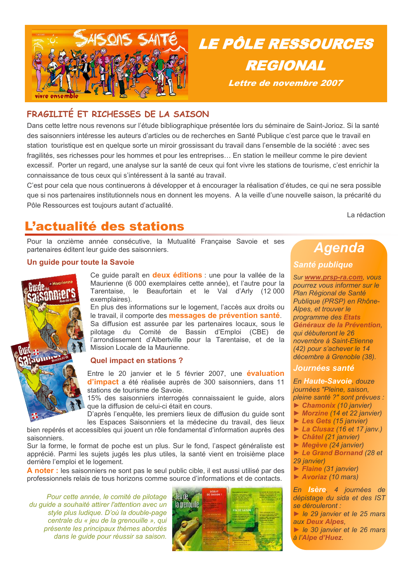

### FRAGILITÉ ET RICHESSES DE LA SAISON

Dans cette lettre nous revenons sur l'étude bibliographique présentée lors du séminaire de Saint-Jorioz. Si la santé des saisonniers intéresse les auteurs d'articles ou de recherches en Santé Publique c'est parce que le travail en station touristique est en quelque sorte un miroir grossissant du travail dans l'ensemble de la société : avec ses fragilités, ses richesses pour les hommes et pour les entreprises... En station le meilleur comme le pire devient excessif. Porter un regard, une analyse sur la santé de ceux qui font vivre les stations de tourisme, c'est enrichir la connaissance de tous ceux qui s'intéressent à la santé au travail.

C'est pour cela que nous continuerons à développer et à encourager la réalisation d'études, ce qui ne sera possible que si nos partenaires institutionnels nous en donnent les moyens. A la veille d'une nouvelle saison, la précarité du Pôle Ressources est toujours autant d'actualité.

La rédaction

## L'actualité des stations

Pour la onzième année consécutive, la Mutualité Française Savoie et ses partenaires éditent leur guide des saisonniers.

#### Un guide pour toute la Savoie



Ce guide paraît en deux éditions : une pour la vallée de la Maurienne (6 000 exemplaires cette année), et l'autre pour la Tarentaise, le Beaufortain et le Val d'Arly (12 000 exemplaires).

En plus des informations sur le logement, l'accès aux droits ou le travail, il comporte des messages de prévention santé. Sa diffusion est assurée par les partenaires locaux, sous le pilotage du Comité de Bassin d'Emploi (CBE) de l'arrondissement d'Albertville pour la Tarentaise, et de la Mission Locale de la Maurienne.

#### **Quel impact en stations?**

Entre le 20 janvier et le 5 février 2007, une évaluation d'impact a été réalisée auprès de 300 saisonniers, dans 11 stations de tourisme de Savoie.

15% des saisonniers interrogés connaissaient le quide, alors que la diffusion de celui-ci était en cours.

D'après l'enquête, les premiers lieux de diffusion du quide sont les Espaces Saisonniers et la médecine du travail, des lieux bien repérés et accessibles qui jouent un rôle fondamental d'information auprès des

saisonniers. Sur la forme, le format de poche est un plus. Sur le fond, l'aspect généraliste est apprécié. Parmi les sujets jugés les plus utiles, la santé vient en troisième place derrière l'emploi et le logement.

A noter : les saisonniers ne sont pas le seul public cible, il est aussi utilisé par des professionnels relais de tous horizons comme source d'informations et de contacts.

Pour cette année, le comité de pilotage du quide a souhaité attirer l'attention avec un style plus ludique. D'où la double-page centrale du « jeu de la grenouille », qui présente les principaux thèmes abordés dans le guide pour réussir sa saison.



## **Agenda**

### **Santé publique**

**LE PÔLE RESSOURCES** 

**REGIONAL** 

Lettre de novembre 2007

Sur www.prsp-ra.com, vous pourrez vous informer sur le Plan Régional de Santé Publique (PRSP) en Rhône-Alpes, et trouver le programme des Etats Généraux de la Prévention. qui débuteront le 26 novembre à Saint-Etienne (42) pour s'achever le 14 décembre à Grenoble (38).

#### *Journées santé*

En Haute-Savoie, douze journées "Pleine, saison, pleine santé ?" sont prévues : Chamonix (10 janvier)

- $\triangleright$  Morzine (14 et 22 janvier)
- Les Gets (15 janvier)
- $\triangleright$  La Clusaz (16 et 17 janv.)
- $\triangleright$  Châtel (21 janvier)
- $\triangleright$  Megève (24 janvier)
- Le Grand Bornand (28 et 29 janvier)
- 
- Flaine (31 janvier)  $\triangleright$  Avoriaz (10 mars)

En *Isère*, 4 journées de dépistage du sida et des IST se dérouleront : le 29 janvier et le 25 mars

aux Deux Alpes,

le 30 janvier et le 26 mars à l'Alpe d'Huez.